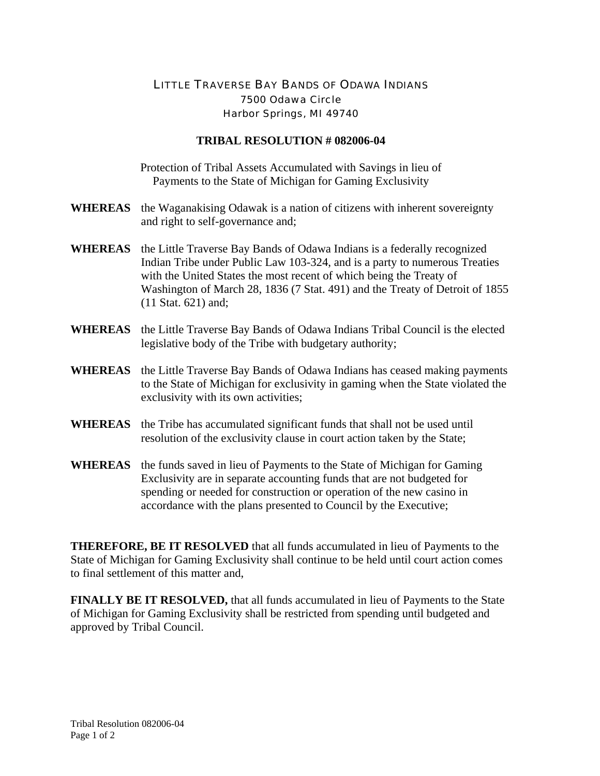## LITTLE TRAVERSE BAY BANDS OF ODAWA INDIANS 7500 Odawa Circle Harbor Springs, MI 49740

## **TRIBAL RESOLUTION # 082006-04**

Protection of Tribal Assets Accumulated with Savings in lieu of Payments to the State of Michigan for Gaming Exclusivity

- **WHEREAS** the Waganakising Odawak is a nation of citizens with inherent sovereignty and right to self-governance and;
- **WHEREAS** the Little Traverse Bay Bands of Odawa Indians is a federally recognized Indian Tribe under Public Law 103-324, and is a party to numerous Treaties with the United States the most recent of which being the Treaty of Washington of March 28, 1836 (7 Stat. 491) and the Treaty of Detroit of 1855 (11 Stat. 621) and;
- **WHEREAS** the Little Traverse Bay Bands of Odawa Indians Tribal Council is the elected legislative body of the Tribe with budgetary authority;
- **WHEREAS** the Little Traverse Bay Bands of Odawa Indians has ceased making payments to the State of Michigan for exclusivity in gaming when the State violated the exclusivity with its own activities;
- **WHEREAS** the Tribe has accumulated significant funds that shall not be used until resolution of the exclusivity clause in court action taken by the State;
- **WHEREAS** the funds saved in lieu of Payments to the State of Michigan for Gaming Exclusivity are in separate accounting funds that are not budgeted for spending or needed for construction or operation of the new casino in accordance with the plans presented to Council by the Executive;

**THEREFORE, BE IT RESOLVED** that all funds accumulated in lieu of Payments to the State of Michigan for Gaming Exclusivity shall continue to be held until court action comes to final settlement of this matter and,

**FINALLY BE IT RESOLVED,** that all funds accumulated in lieu of Payments to the State of Michigan for Gaming Exclusivity shall be restricted from spending until budgeted and approved by Tribal Council.